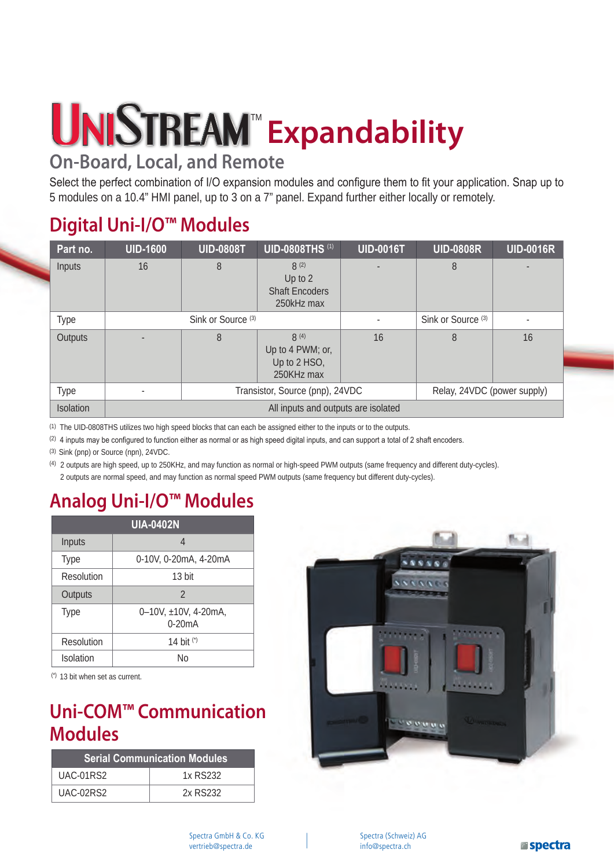# **Expandability**

## **On-Board, Local, and Remote**

Select the perfect combination of I/O expansion modules and configure them to fit your application. Snap up to 5 modules on a 10.4" HMI panel, up to 3 on a 7" panel. Expand further either locally or remotely.

## **Digital Uni-I/O™ Modules**

| Part no.  | <b>UID-1600</b>                     | <b>UID-0808T</b>                                               | <b>UID-0808THS (1)</b>                                 | <b>UID-0016T</b> | <b>UID-0808R</b>              | <b>UID-0016R</b> |  |
|-----------|-------------------------------------|----------------------------------------------------------------|--------------------------------------------------------|------------------|-------------------------------|------------------|--|
| Inputs    | 16                                  | 8                                                              | 8(2)<br>Up to 2<br><b>Shaft Encoders</b><br>250kHz max |                  | 8                             |                  |  |
| Type      | Sink or Source <sup>(3)</sup>       |                                                                |                                                        |                  | Sink or Source <sup>(3)</sup> | ٠                |  |
| Outputs   |                                     | 8                                                              | 8(4)<br>Up to 4 PWM; or,<br>Up to 2 HSO,<br>250KHz max | 16               | 8                             | 16               |  |
| Type      |                                     | Transistor, Source (pnp), 24VDC<br>Relay, 24VDC (power supply) |                                                        |                  |                               |                  |  |
| Isolation | All inputs and outputs are isolated |                                                                |                                                        |                  |                               |                  |  |

(1) The UID-0808THS utilizes two high speed blocks that can each be assigned either to the inputs or to the outputs.

(2) 4 inputs may be configured to function either as normal or as high speed digital inputs, and can support a total of 2 shaft encoders.

(3) Sink (pnp) or Source (npn), 24VDC.

(4) 2 outputs are high speed, up to 250KHz, and may function as normal or high-speed PWM outputs (same frequency and different duty-cycles). 2 outputs are normal speed, and may function as normal speed PWM outputs (same frequency but different duty-cycles).

#### **Analog Uni-I/O™ Modules**

| <b>UIA-0402N</b> |                                  |  |  |  |  |
|------------------|----------------------------------|--|--|--|--|
| Inputs           | 4                                |  |  |  |  |
| <b>Type</b>      | 0-10V, 0-20mA, 4-20mA            |  |  |  |  |
| Resolution       | 13 bit                           |  |  |  |  |
| Outputs          | $\overline{2}$                   |  |  |  |  |
| <b>Type</b>      | 0-10V, ±10V, 4-20mA,<br>$0-20mA$ |  |  |  |  |
| Resolution       | 14 bit (*)                       |  |  |  |  |
| Isolation        | N٥                               |  |  |  |  |

(\*) 13 bit when set as current.

#### **Uni-COM™ Communication Modules**

| <b>Serial Communication Modules</b> |          |  |  |  |
|-------------------------------------|----------|--|--|--|
| UAC-01RS2                           | 1x RS232 |  |  |  |
| UAC-02RS2                           | 2x RS232 |  |  |  |

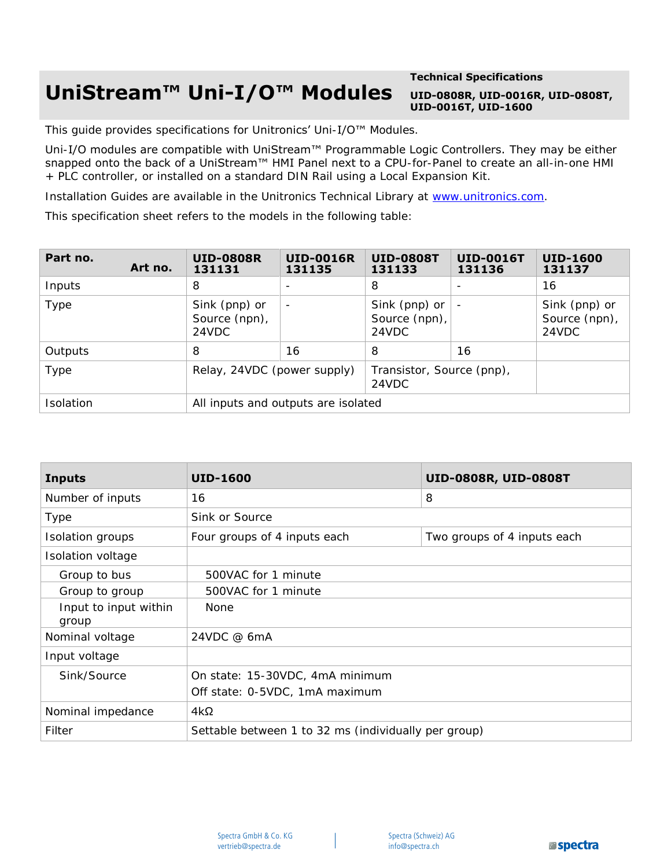## **UniStream™ Uni-I/O™ Modules**

#### **Technical Specifications UID-0808R, UID-0016R, UID-0808T, UID-0016T, UID-1600**

This guide provides specifications for Unitronics' Uni-I/O™ Modules.

Uni-I/O modules are compatible with UniStream™ Programmable Logic Controllers. They may be either snapped onto the back of a UniStream™ HMI Panel next to a CPU-for[-Panel to create an all](http://www.unitronics.com/)-in-one HMI + PLC controller, or installed on a standard DIN Rail using a Local Expansion Kit.

Installation Guides are available in the Unitronics Technical Library at www.unitronics.com.

This specification sheet refers to the models in the following table:

| Part no.  | Art no. | <b>UID-0808R</b><br>131131              | <b>UID-0016R</b><br>131135 | <b>UID-0808T</b><br>131133              | <b>UID-0016T</b><br>131136 | <b>UID-1600</b><br>131137               |
|-----------|---------|-----------------------------------------|----------------------------|-----------------------------------------|----------------------------|-----------------------------------------|
| Inputs    |         | 8                                       |                            | 8                                       | $\overline{\phantom{0}}$   | 16                                      |
| Type      |         | Sink (pnp) or<br>Source (npn),<br>24VDC | $\overline{\phantom{a}}$   | Sink (pnp) or<br>Source (npn),<br>24VDC | $\overline{\phantom{a}}$   | Sink (pnp) or<br>Source (npn),<br>24VDC |
| Outputs   |         | 8                                       | 16                         | 8                                       | 16                         |                                         |
| Type      |         | Relay, 24VDC (power supply)             |                            | Transistor, Source (pnp),<br>24VDC      |                            |                                         |
| Isolation |         | All inputs and outputs are isolated     |                            |                                         |                            |                                         |

| <b>Inputs</b>                                                  | <b>UID-1600</b>                 | UID-0808R, UID-0808T        |  |  |
|----------------------------------------------------------------|---------------------------------|-----------------------------|--|--|
| Number of inputs                                               | 16                              | 8                           |  |  |
| Type                                                           | Sink or Source                  |                             |  |  |
| Isolation groups                                               | Four groups of 4 inputs each    | Two groups of 4 inputs each |  |  |
| Isolation voltage                                              |                                 |                             |  |  |
| Group to bus                                                   | 500VAC for 1 minute             |                             |  |  |
| Group to group                                                 |                                 |                             |  |  |
| Input to input within<br>group                                 | <b>None</b>                     |                             |  |  |
| Nominal voltage<br>24VDC @ 6mA                                 |                                 |                             |  |  |
| Input voltage                                                  |                                 |                             |  |  |
| Sink/Source                                                    | On state: 15-30VDC, 4mA minimum |                             |  |  |
|                                                                | Off state: 0-5VDC, 1mA maximum  |                             |  |  |
| Nominal impedance                                              | $4k\Omega$                      |                             |  |  |
| Filter<br>Settable between 1 to 32 ms (individually per group) |                                 |                             |  |  |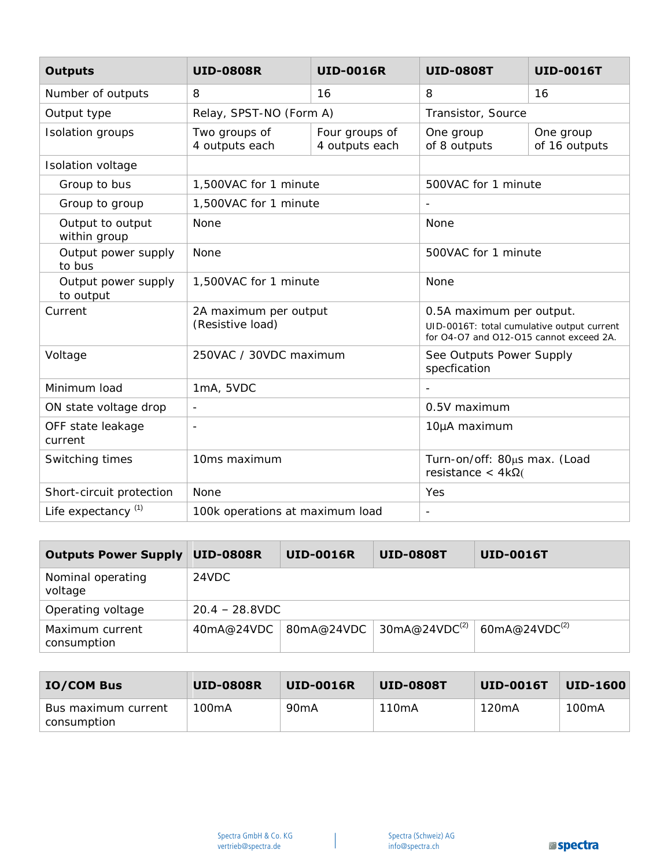| <b>Outputs</b>                   | <b>UID-0808R</b>                          | <b>UID-0016R</b>                 | <b>UID-0808T</b>                                                                                                  | <b>UID-0016T</b>                                        |  |
|----------------------------------|-------------------------------------------|----------------------------------|-------------------------------------------------------------------------------------------------------------------|---------------------------------------------------------|--|
| Number of outputs                | 8                                         | 16                               | 8                                                                                                                 | 16                                                      |  |
| Output type                      | Relay, SPST-NO (Form A)                   |                                  | Transistor, Source                                                                                                |                                                         |  |
| Isolation groups                 | Two groups of<br>4 outputs each           | Four groups of<br>4 outputs each | One group<br>of 8 outputs                                                                                         | One group<br>of 16 outputs                              |  |
| Isolation voltage                |                                           |                                  |                                                                                                                   |                                                         |  |
| Group to bus                     | 1,500VAC for 1 minute                     |                                  | 500VAC for 1 minute                                                                                               |                                                         |  |
| Group to group                   | 1,500VAC for 1 minute                     |                                  |                                                                                                                   |                                                         |  |
| Output to output<br>within group | None                                      |                                  | None                                                                                                              |                                                         |  |
| Output power supply<br>to bus    | None                                      |                                  | 500VAC for 1 minute                                                                                               |                                                         |  |
| Output power supply<br>to output | 1,500VAC for 1 minute                     |                                  | None                                                                                                              |                                                         |  |
| Current                          | 2A maximum per output<br>(Resistive load) |                                  | 0.5A maximum per output.<br>UID-0016T: total cumulative output current<br>for O4-O7 and O12-O15 cannot exceed 2A. |                                                         |  |
| Voltage                          |                                           | 250VAC / 30VDC maximum           |                                                                                                                   | See Outputs Power Supply<br>specfication                |  |
| Minimum load                     | 1mA, 5VDC                                 |                                  |                                                                                                                   |                                                         |  |
| ON state voltage drop            | $\overline{\phantom{a}}$                  |                                  | 0.5V maximum                                                                                                      |                                                         |  |
| OFF state leakage<br>current     | $\overline{\phantom{a}}$                  |                                  | 10µA maximum                                                                                                      |                                                         |  |
| Switching times                  | 10ms maximum                              |                                  |                                                                                                                   | Turn-on/off: 80µs max. (Load<br>resistance < $4k\Omega$ |  |
| Short-circuit protection         | None                                      |                                  | Yes                                                                                                               |                                                         |  |
| Life expectancy <sup>(1)</sup>   | 100k operations at maximum load           |                                  | $\overline{a}$                                                                                                    |                                                         |  |

| <b>Outputs Power Supply</b>    | <b>UID-0808R</b>  | <b>UID-0016R</b> | <b>UID-0808T</b>                        | <b>UID-0016T</b>          |
|--------------------------------|-------------------|------------------|-----------------------------------------|---------------------------|
| Nominal operating<br>voltage   | 24VDC             |                  |                                         |                           |
| Operating voltage              | $20.4 - 28.8$ VDC |                  |                                         |                           |
| Maximum current<br>consumption | 40mA@24VDC        | ∣80mA@24VDC      | $\frac{1}{2}$ 30mA@24VDC <sup>(2)</sup> | 60mA@24VDC <sup>(2)</sup> |

| <b>IO/COM Bus</b>                    | <b>UID-0808R</b> | <b>UID-0016R</b>  | UID-0808T | UID-0016T | <b>UID-1600</b> |
|--------------------------------------|------------------|-------------------|-----------|-----------|-----------------|
| Bus maximum current<br>' consumption | 100mA            | 90 <sub>m</sub> A | 110mA     | 120mA     | 100mA           |

 $\overline{\phantom{a}}$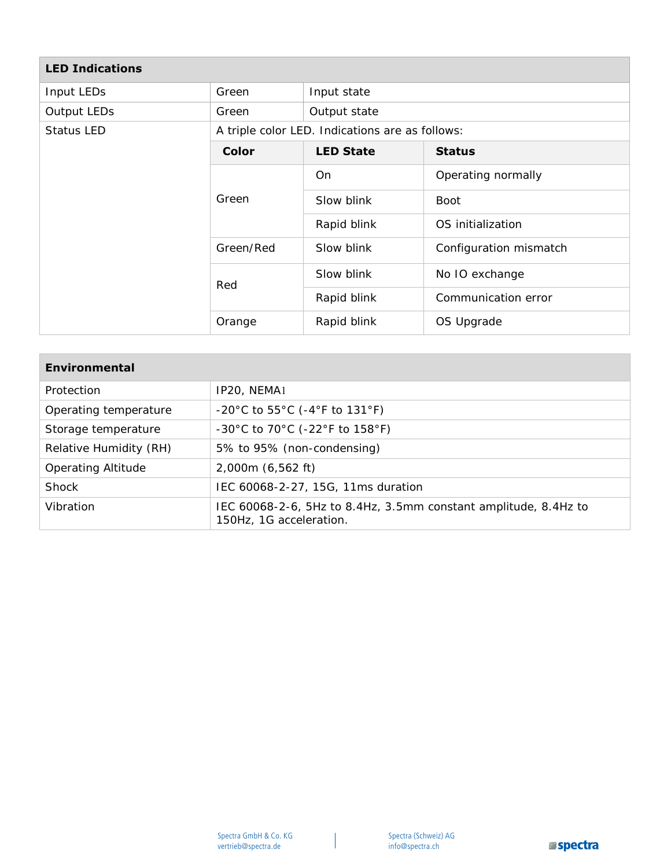| <b>LED Indications</b> |              |                                                 |                        |  |  |  |
|------------------------|--------------|-------------------------------------------------|------------------------|--|--|--|
| Input LEDs             | Green        | Input state                                     |                        |  |  |  |
| Output LEDs            | Green        | Output state                                    |                        |  |  |  |
| Status LED             |              | A triple color LED. Indications are as follows: |                        |  |  |  |
|                        | <b>Color</b> | <b>LED State</b>                                | <b>Status</b>          |  |  |  |
|                        | Green        | On                                              | Operating normally     |  |  |  |
|                        |              | Slow blink                                      | <b>Boot</b>            |  |  |  |
|                        |              | Rapid blink                                     | OS initialization      |  |  |  |
|                        | Green/Red    | Slow blink                                      | Configuration mismatch |  |  |  |
|                        | Red          | Slow blink                                      | No IO exchange         |  |  |  |
|                        |              | Rapid blink                                     | Communication error    |  |  |  |
|                        | Orange       | Rapid blink                                     | OS Upgrade             |  |  |  |

| <b>Environmental</b>      |                                                                                            |
|---------------------------|--------------------------------------------------------------------------------------------|
| Protection                | IP20, NEMA1                                                                                |
| Operating temperature     | $-20^{\circ}$ C to 55 $^{\circ}$ C (-4 $^{\circ}$ F to 131 $^{\circ}$ F)                   |
| Storage temperature       | $-30^{\circ}$ C to 70 $^{\circ}$ C ( $-22^{\circ}$ F to 158 $^{\circ}$ F)                  |
| Relative Humidity (RH)    | 5% to 95% (non-condensing)                                                                 |
| <b>Operating Altitude</b> | 2,000m (6,562 ft)                                                                          |
| Shock                     | IEC 60068-2-27, 15G, 11ms duration                                                         |
| Vibration                 | IEC 60068-2-6, 5Hz to 8.4Hz, 3.5mm constant amplitude, 8.4Hz to<br>150Hz, 1G acceleration. |

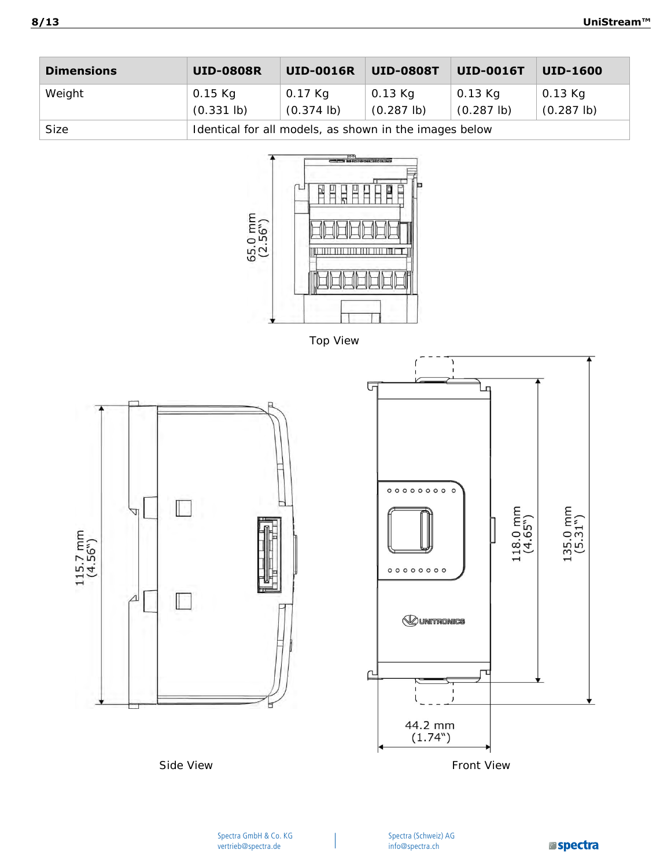| <b>Dimensions</b> | <b>UID-0808R</b>                                       | <b>UID-0016R</b>                | <b>UID-0808T</b>           | <b>UID-0016T</b>           | <b>UID-1600</b>                 |
|-------------------|--------------------------------------------------------|---------------------------------|----------------------------|----------------------------|---------------------------------|
| Weight            | 0.15 Kg<br>$(0.331$ lb)                                | 0.17 Kg<br>$(0.374 \text{ lb})$ | 0.13 Kg<br>$(0.287 \, lb)$ | 0.13 Kg<br>$(0.287 \, lb)$ | 0.13 Kg<br>$(0.287 \text{ lb})$ |
| Size              | Identical for all models, as shown in the images below |                                 |                            |                            |                                 |